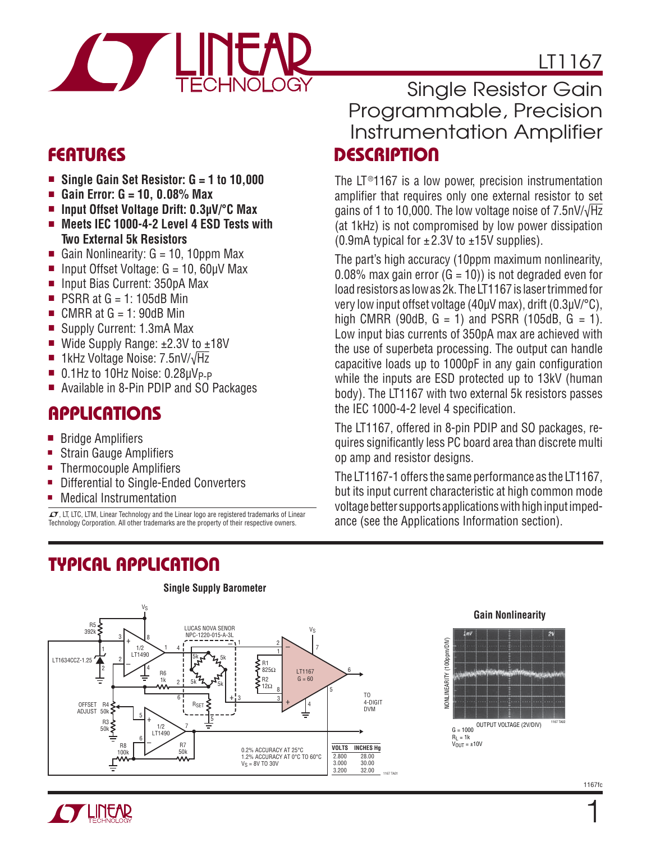

- Single Gain Set Resistor: G = 1 to 10,000
- <sup>n</sup> **Gain Error: G = 10, 0.08% Max**
- <sup>n</sup> **Input Offset Voltage Drift: 0.3μV/°C Max**
- Meets IEC 1000-4-2 Level 4 ESD Tests with **Two External 5k Resistors**
- Gain Nonlinearity:  $G = 10$ , 10ppm Max
- n Input Offset Voltage:  $G = 10$ ,  $60 \mu V$  Max
- <sup>n</sup> Input Bias Current: 350pA Max
- $\blacksquare$  PSRR at G = 1: 105dB Min
- $\blacksquare$  CMRR at G = 1: 90dB Min
- Supply Current: 1.3mA Max
- Wide Supply Range:  $±2.3V$  to  $±18V$
- 1kHz Voltage Noise: 7.5nV/ $\sqrt{Hz}$
- $\blacksquare$  0.1Hz to 10Hz Noise: 0.28 $\mu V_{\rm P-P}$
- Available in 8-Pin PDIP and SO Packages

## **APPLICATIONS**

- Bridge Amplifiers
- Strain Gauge Amplifiers
- Thermocouple Amplifiers
- Differential to Single-Ended Converters
- Medical Instrumentation

 $\sqrt{J}$ , LT, LTC, LTM, Linear Technology and the Linear logo are registered trademarks of Linear Technology Corporation. All other trademarks are the property of their respective owners.

# **TYPICAL APPLICATION**

# **FEATURES DESCRIPTION** Single Resistor Gain Programmable, Precision Instrumentation Amplifier

LT1167

The LT<sup>®</sup>1167 is a low power, precision instrumentation amplifier that requires only one external resistor to set gains of 1 to 10,000. The low voltage noise of 7.5nV/√Hz (at 1kHz) is not compromised by low power dissipation (0.9mA typical for  $\pm 2.3V$  to  $\pm 15V$  supplies).

The part's high accuracy (10ppm maximum nonlinearity, 0.08% max gain error  $(G = 10)$ ) is not degraded even for load resistors as low as 2k. The LT1167 is laser trimmed for very low input offset voltage (40μV max), drift (0.3μV/°C), high CMRR (90dB,  $G = 1$ ) and PSRR (105dB,  $G = 1$ ). Low input bias currents of 350pA max are achieved with the use of superbeta processing. The output can handle capacitive loads up to 1000pF in any gain configuration while the inputs are ESD protected up to 13kV (human body). The LT1167 with two external 5k resistors passes the IEC 1000-4-2 level 4 specification.

The LT1167, offered in 8-pin PDIP and SO packages, requires significantly less PC board area than discrete multi op amp and resistor designs.

The LT1167-1 offers the same performance as the LT1167, but its input current characteristic at high common mode voltage better supports applications with high input impedance (see the Applications Information section).



**Single Supply Barometer**

#### **Gain Nonlinearity**





1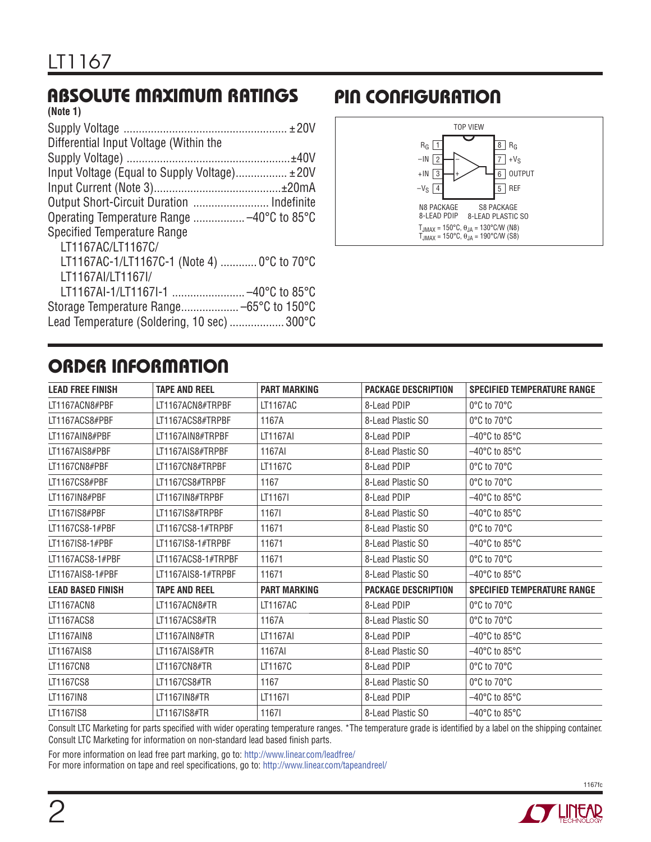# **ABSOLUTE MAXIMUM RATINGS**

| (Note 1)                                      |  |
|-----------------------------------------------|--|
|                                               |  |
| Differential Input Voltage (Within the        |  |
|                                               |  |
| Input Voltage (Equal to Supply Voltage) ± 20V |  |
|                                               |  |
| Output Short-Circuit Duration  Indefinite     |  |
|                                               |  |
| <b>Specified Temperature Range</b>            |  |
| LT1167AC/LT1167C/                             |  |
| LT1167AC-1/LT1167C-1 (Note 4)  0°C to 70°C    |  |
| LT1167AI/LT1167I/                             |  |
| LT1167Al-1/LT1167l-1  -40°C to 85°C           |  |
|                                               |  |
| Lead Temperature (Soldering, 10 sec)  300°C   |  |
|                                               |  |

## **PIN CONFIGURATION**



# **ORDER INFORMATION**

| <b>LEAD FREE FINISH</b>  | <b>TAPE AND REEL</b> | <b>PART MARKING</b> | <b>PACKAGE DESCRIPTION</b> | <b>SPECIFIED TEMPERATURE RANGE</b> |
|--------------------------|----------------------|---------------------|----------------------------|------------------------------------|
| LT1167ACN8#PBF           | LT1167ACN8#TRPBF     | LT1167AC            | 8-Lead PDIP                | 0°C to 70°C                        |
| LT1167ACS8#PBF           | LT1167ACS8#TRPBF     | 1167A               | 8-Lead Plastic SO          | 0°C to 70°C                        |
| LT1167AIN8#PBF           | LT1167AIN8#TRPBF     | LT1167AI            | 8-Lead PDIP                | –40°C to 85°C                      |
| LT1167AIS8#PBF           | LT1167AIS8#TRPBF     | 1167AI              | 8-Lead Plastic SO          | $-40^{\circ}$ C to 85 $^{\circ}$ C |
| LT1167CN8#PBF            | LT1167CN8#TRPBF      | LT1167C             | 8-Lead PDIP                | 0°C to 70°C                        |
| LT1167CS8#PBF            | LT1167CS8#TRPBF      | 1167                | 8-Lead Plastic SO          | 0°C to 70°C                        |
| LT1167IN8#PBF            | LT1167IN8#TRPBF      | LT1167I             | 8-Lead PDIP                | $-40^{\circ}$ C to 85 $^{\circ}$ C |
| LT1167IS8#PBF            | LT1167IS8#TRPBF      | 11671               | 8-Lead Plastic SO          | –40°C to 85°C                      |
| LT1167CS8-1#PBF          | LT1167CS8-1#TRPBF    | 11671               | 8-Lead Plastic SO          | 0°C to 70°C                        |
| LT1167IS8-1#PBF          | LT1167IS8-1#TRPBF    | 11671               | 8-Lead Plastic SO          | $-40^{\circ}$ C to 85 $^{\circ}$ C |
| LT1167ACS8-1#PBF         | LT1167ACS8-1#TRPBF   | 11671               | 8-Lead Plastic SO          | 0°C to 70°C                        |
| LT1167AIS8-1#PBF         | LT1167AIS8-1#TRPBF   | 11671               | 8-Lead Plastic SO          | –40°C to 85°C                      |
| <b>LEAD BASED FINISH</b> | <b>TAPE AND REEL</b> | <b>PART MARKING</b> | <b>PACKAGE DESCRIPTION</b> | <b>SPECIFIED TEMPERATURE RANGE</b> |
| LT1167ACN8               | LT1167ACN8#TR        | LT1167AC            | 8-Lead PDIP                | 0°C to 70°C                        |
| LT1167ACS8               | LT1167ACS8#TR        | 1167A               | 8-Lead Plastic SO          | 0°C to 70°C                        |
| LT1167AIN8               | LT1167AIN8#TR        | <b>LT1167AI</b>     | 8-Lead PDIP                | $-40^{\circ}$ C to 85 $^{\circ}$ C |
| LT1167AIS8               | LT1167AIS8#TR        | 1167AI              | 8-Lead Plastic SO          | –40°C to 85°C                      |
| LT1167CN8                | LT1167CN8#TR         | LT1167C             | 8-Lead PDIP                | 0°C to 70°C                        |
| LT1167CS8                | LT1167CS8#TR         | 1167                | 8-Lead Plastic SO          | 0°C to 70°C                        |
| LT1167IN8                | LT1167IN8#TR         | LT1167I             | 8-Lead PDIP                | –40°C to 85°C                      |
| LT1167IS8                | LT1167IS8#TR         | 11671               | 8-Lead Plastic SO          | –40°C to 85°C                      |
|                          |                      |                     |                            |                                    |

Consult LTC Marketing for parts specified with wider operating temperature ranges. \*The temperature grade is identified by a label on the shipping container. Consult LTC Marketing for information on non-standard lead based finish parts.

For more information on lead free part marking, go to: http://www.linear.com/leadfree/ For more information on tape and reel specifications, go to: http://www.linear.com/tapeandreel/

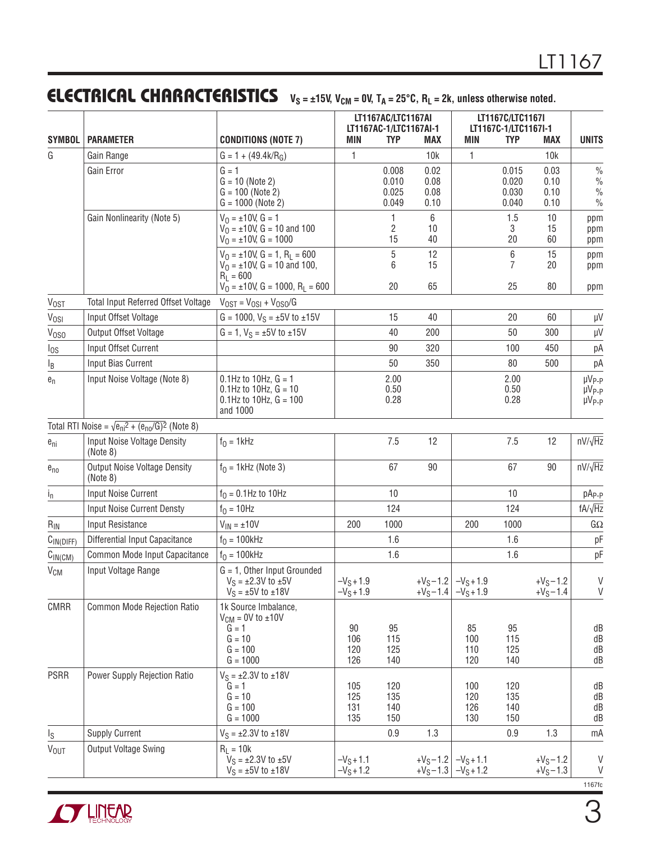# **ELECTRICAL CHARACTERISTICS**  $V_S = \pm 15V$ ,  $V_{CM} = 0V$ ,  $T_A = 25^{\circ}C$ ,  $R_L = 2k$ , unless otherwise noted.

| <b>SYMBOL</b><br><b>PARAMETER</b> |                                                                                     | <b>CONDITIONS (NOTE 7)</b>                                                                               | MIN                          | <b>TYP</b>                       | LT1167AC/LTC1167AI<br>LT1167AC-1/LTC1167AI-1<br><b>MAX</b> |                                       | LT1167C/LTC1167I<br>LT1167C-1/LTC1167I-1<br><b>TYP</b><br><b>MIN</b> |                              | <b>UNITS</b>                                            |
|-----------------------------------|-------------------------------------------------------------------------------------|----------------------------------------------------------------------------------------------------------|------------------------------|----------------------------------|------------------------------------------------------------|---------------------------------------|----------------------------------------------------------------------|------------------------------|---------------------------------------------------------|
| G                                 | Gain Range                                                                          | $G = 1 + (49.4k/RG)$                                                                                     | 1                            |                                  | 10k                                                        | 1                                     |                                                                      | <b>MAX</b><br>10k            |                                                         |
|                                   | Gain Error                                                                          | $G = 1$<br>$G = 10$ (Note 2)<br>$G = 100$ (Note 2)<br>$G = 1000$ (Note 2)                                |                              | 0.008<br>0.010<br>0.025<br>0.049 | 0.02<br>0.08<br>0.08<br>0.10                               |                                       | 0.015<br>0.020<br>0.030<br>0.040                                     | 0.03<br>0.10<br>0.10<br>0.10 | $\frac{0}{0}$<br>$\%$<br>$\frac{0}{0}$<br>$\%$          |
|                                   | Gain Nonlinearity (Note 5)                                                          | $V_0 = \pm 10V$ , $G = 1$<br>$V_0 = \pm 10V$ , G = 10 and 100<br>$V_0 = \pm 10V$ , G = 1000              |                              | 1<br>2<br>15                     | 6<br>10<br>40                                              |                                       | 1.5<br>3<br>20                                                       | 10<br>15<br>60               | ppm<br>ppm<br>ppm                                       |
|                                   |                                                                                     | $V_0 = \pm 10V$ , G = 1, R <sub>L</sub> = 600<br>$V_0 = \pm 10V$ , G = 10 and 100,<br>$R_1 = 600$        |                              | 5<br>6                           | 12<br>15                                                   |                                       | 6<br>7                                                               | 15<br>20                     | ppm<br>ppm                                              |
| $V_{OST}$                         | Total Input Referred Offset Voltage                                                 | $V_0 = \pm 10V$ , G = 1000, R <sub>L</sub> = 600<br>$V_{OST} = V_{OSI} + V_{OSO}/G$                      |                              | 20                               | 65                                                         |                                       | 25                                                                   | 80                           | ppm                                                     |
| Vosi                              | Input Offset Voltage                                                                | $G = 1000$ , $V_S = \pm 5V$ to $\pm 15V$                                                                 |                              | 15                               | 40                                                         |                                       | 20                                                                   | 60                           | $\mu\text{V}$                                           |
| V <sub>0SO</sub>                  | Output Offset Voltage                                                               | $G = 1$ , $V_S = \pm 5V$ to $\pm 15V$                                                                    |                              | 40                               | 200                                                        |                                       | 50                                                                   | 300                          | μV                                                      |
|                                   | Input Offset Current                                                                |                                                                                                          |                              | 90                               | 320                                                        |                                       | 100                                                                  | 450                          | рA                                                      |
| $I_{OS}$<br>$I_B$                 | Input Bias Current                                                                  |                                                                                                          |                              | 50                               | 350                                                        |                                       | 80                                                                   | 500                          | рA                                                      |
| $e_n$                             | Input Noise Voltage (Note 8)                                                        | $0.1$ Hz to $10$ Hz, $G = 1$<br>$0.1$ Hz to 10Hz, $G = 10$<br>$0.1$ Hz to $10$ Hz, $G = 100$<br>and 1000 |                              | 2.00<br>0.50<br>0.28             |                                                            |                                       | 2.00<br>0.50<br>0.28                                                 |                              | µV <sub>P-P</sub><br>µV <sub>P-P</sub><br>$\mu V_{P-P}$ |
|                                   | Total RTI Noise = $\sqrt{\frac{e_{\text{ni}}^2 + (e_{\text{no}}/G)^2}{n}}$ (Note 8) |                                                                                                          |                              |                                  |                                                            |                                       |                                                                      |                              |                                                         |
| $e_{ni}$                          | Input Noise Voltage Density<br>(Note 8)                                             | $f0 = 1$ kHz                                                                                             |                              | 7.5                              | 12                                                         |                                       | 7.5                                                                  | 12                           | $nV/\sqrt{Hz}$                                          |
| $e_{no}$                          | <b>Output Noise Voltage Density</b><br>(Note 8)                                     | $f0$ = 1kHz (Note 3)                                                                                     |                              | 67                               | 90                                                         |                                       | 67                                                                   | 90                           | $nV/\sqrt{Hz}$                                          |
| $i_{n}$                           | <b>Input Noise Current</b>                                                          | $f_0 = 0.1$ Hz to 10Hz                                                                                   |                              | 10                               |                                                            |                                       | 10                                                                   |                              | pA <sub>P-P</sub>                                       |
|                                   | <b>Input Noise Current Densty</b>                                                   | $f_0 = 10$ Hz                                                                                            |                              | 124                              |                                                            |                                       | 124                                                                  |                              | $fA/\sqrt{Hz}$                                          |
| $R_{IN}$                          | <b>Input Resistance</b>                                                             | $V_{IN} = \pm 10V$                                                                                       | 200                          | 1000                             |                                                            | 200                                   | 1000                                                                 |                              | $G\Omega$                                               |
| C <sub>IN(DIFF)</sub>             | Differential Input Capacitance                                                      | $f0 = 100kHz$                                                                                            |                              | 1.6                              |                                                            |                                       | 1.6                                                                  |                              | pF                                                      |
| C <sub>IN(CM)</sub>               | Common Mode Input Capacitance                                                       | $f_0 = 100$ kHz                                                                                          |                              | 1.6                              |                                                            |                                       | 1.6                                                                  |                              | pF                                                      |
| <b>V<sub>CM</sub></b>             | Input Voltage Range                                                                 | $G = 1$ , Other Input Grounded<br>$V_S = \pm 2.3V$ to $\pm 5V$<br>$V_S = \pm 5V$ to $\pm 18V$            | $-V_S + 1.9$<br>$-V_S + 1.9$ |                                  | $+V_S - 1.4$                                               | $+V_S-1.2$ $-V_S+1.9$<br>$-V_S + 1.9$ |                                                                      | $+V_S - 1.2$<br>$+V_S - 1.4$ | V<br>V                                                  |
| <b>CMRR</b>                       | Common Mode Rejection Ratio                                                         | 1k Source Imbalance,<br>$V_{CM} = 0V$ to $\pm 10V$<br>$G = 1$<br>$G = 10$<br>$G = 100$<br>$G = 1000$     | 90<br>106<br>120<br>126      | 95<br>115<br>125<br>140          |                                                            | 85<br>100<br>110<br>120               | 95<br>115<br>125<br>140                                              |                              | dB<br>dB<br>dB<br>dB                                    |
| <b>PSRR</b>                       | Power Supply Rejection Ratio                                                        | $V_S = \pm 2.3V$ to $\pm 18V$<br>$G = 1$<br>$G = 10$<br>$G = 100$<br>$G = 1000$                          | 105<br>125<br>131<br>135     | 120<br>135<br>140<br>150         |                                                            | 100<br>120<br>126<br>130              | 120<br>135<br>140<br>150                                             |                              | dB<br>dB<br>dB<br>dB                                    |
| Is                                | <b>Supply Current</b>                                                               | $V_S = \pm 2.3V$ to $\pm 18V$                                                                            |                              | 0.9                              | 1.3                                                        |                                       | 0.9                                                                  | 1.3                          | mA                                                      |
| $V_{OUT}$                         | Output Voltage Swing                                                                | $R_L = 10k$<br>$V_S = \pm 2.3V$ to $\pm 5V$<br>$V_S = \pm 5V$ to $\pm 18V$                               | $-V_S + 1.1$<br>$-V_S + 1.2$ |                                  | $+V_S - 1.2$<br>$+V_S - 1.3$                               | $-VS+1.1$<br>$-V_S + 1.2$             |                                                                      | $+V_S - 1.2$<br>$+V_S - 1.3$ | V<br>V<br>1167fc                                        |

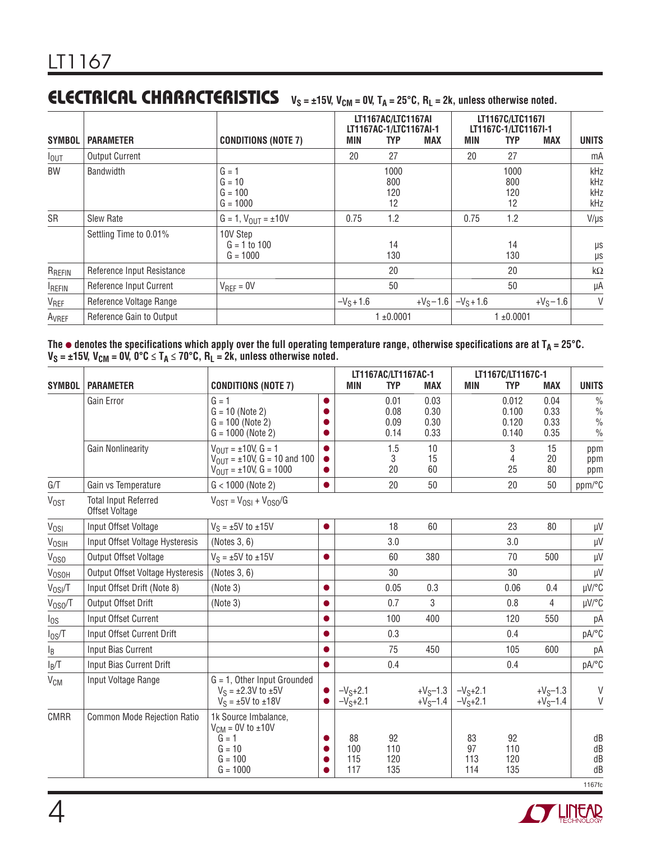## **ELECTRICAL CHARACTERISTICS**  $V_S = \pm 15V$ ,  $V_{CM} = 0V$ ,  $T_A = 25^{\circ}$ C,  $R_L = 2k$ , unless otherwise noted.

| <b>SYMBOL</b>     | <b>PARAMETER</b>           | <b>CONDITIONS (NOTE 7)</b>                     | MIN          | LT1167AC/LTC1167AI<br>LT1167AC-1/LTC1167AI-1<br><b>TYP</b> | <b>MAX</b>   | <b>MIN</b> | LT1167C/LTC1167I<br>LT1167C-1/LTC1167I-1<br><b>TYP</b> | <b>MAX</b>   | <b>UNITS</b>             |
|-------------------|----------------------------|------------------------------------------------|--------------|------------------------------------------------------------|--------------|------------|--------------------------------------------------------|--------------|--------------------------|
| $I_{\text{OUT}}$  | <b>Output Current</b>      |                                                | 20           | 27                                                         |              | 20         | 27                                                     |              | mA                       |
| BW                | <b>Bandwidth</b>           | $G = 1$<br>$G = 10$<br>$G = 100$<br>$G = 1000$ |              | 1000<br>800<br>120<br>12                                   |              |            | 1000<br>800<br>120<br>12                               |              | kHz<br>kHz<br>kHz<br>kHz |
| SR                | <b>Slew Rate</b>           | $G = 1, V_{OUT} = \pm 10V$                     | 0.75         | 1.2                                                        |              | 0.75       | 1.2                                                    |              | $V/\mu s$                |
|                   | Settling Time to 0.01%     | 10V Step<br>$G = 1 to 100$<br>$G = 1000$       |              | 14<br>130                                                  |              |            | 14<br>130                                              |              | μs<br>μs                 |
| RREFIN            | Reference Input Resistance |                                                |              | 20                                                         |              |            | 20                                                     |              | $k\Omega$                |
| <b>IREFIN</b>     | Reference Input Current    | $V_{REF} = 0V$                                 |              | 50                                                         |              |            | 50                                                     |              | μA                       |
| V <sub>REF</sub>  | Reference Voltage Range    |                                                | $-V_S + 1.6$ |                                                            | $+V_S - 1.6$ | $-VS+1.6$  |                                                        | $+V_S - 1.6$ | V                        |
| A <sub>VREF</sub> | Reference Gain to Output   |                                                |              | $1 + 0.0001$                                               |              |            | $1 + 0.0001$                                           |              |                          |

**The** <sup>l</sup> **denotes the specifications which apply over the full operating temperature range, otherwise specifications are at TA = 25°C.**   $V_S = \pm 15V$ ,  $V_{\text{CM}} = 0V$ ,  $0^{\circ}C \leq T_A \leq 70^{\circ}C$ ,  $R_L = 2k$ , unless otherwise noted.

|                   |                                               |                                                                                                         |           | LT1167AC/LT1167AC-1     |                              |                              | LT1167C/LT1167C-1      |                                  |                              |                                                                  |
|-------------------|-----------------------------------------------|---------------------------------------------------------------------------------------------------------|-----------|-------------------------|------------------------------|------------------------------|------------------------|----------------------------------|------------------------------|------------------------------------------------------------------|
| <b>SYMBOL</b>     | <b>PARAMETER</b>                              | <b>CONDITIONS (NOTE 7)</b>                                                                              |           | MIN                     | <b>TYP</b>                   | <b>MAX</b>                   | <b>MIN</b>             | <b>TYP</b>                       | <b>MAX</b>                   | <b>UNITS</b>                                                     |
|                   | Gain Error                                    | $G = 1$<br>$G = 10$ (Note 2)<br>$G = 100$ (Note 2)<br>$G = 1000$ (Note 2)                               | $\bullet$ |                         | 0.01<br>0.08<br>0.09<br>0.14 | 0.03<br>0.30<br>0.30<br>0.33 |                        | 0.012<br>0.100<br>0.120<br>0.140 | 0.04<br>0.33<br>0.33<br>0.35 | $\frac{0}{0}$<br>$\frac{0}{0}$<br>$\frac{0}{0}$<br>$\frac{0}{0}$ |
|                   | <b>Gain Nonlinearity</b>                      | $V_{OIII} = \pm 10V, G = 1$<br>$V_{OIII} = \pm 10V$ , G = 10 and 100<br>$V_{OIII} = \pm 10V$ , G = 1000 |           |                         | 1.5<br>3<br>20               | 10<br>15<br>60               |                        | 3<br>4<br>25                     | 15<br>20<br>80               | ppm<br>ppm<br>ppm                                                |
| G/T               | Gain vs Temperature                           | $G < 1000$ (Note 2)                                                                                     |           |                         | 20                           | 50                           |                        | 20                               | 50                           | ppm/°C                                                           |
| <b>VOST</b>       | <b>Total Input Referred</b><br>Offset Voltage | $V_{OST} = V_{OSI} + V_{OSO}/G$                                                                         |           |                         |                              |                              |                        |                                  |                              |                                                                  |
| V <sub>OSI</sub>  | Input Offset Voltage                          | $V_S = \pm 5V$ to $\pm 15V$                                                                             | $\bullet$ |                         | 18                           | 60                           |                        | 23                               | 80                           | μV                                                               |
| <b>VOSIH</b>      | Input Offset Voltage Hysteresis               | (Notes 3, 6)                                                                                            |           |                         | 3.0                          |                              |                        | 3.0                              |                              | $\mu$ V                                                          |
| V <sub>OSO</sub>  | Output Offset Voltage                         | $V_S = \pm 5V$ to $\pm 15V$                                                                             | $\bullet$ |                         | 60                           | 380                          |                        | 70                               | 500                          | $\mu$ V                                                          |
| V <sub>OSOH</sub> | Output Offset Voltage Hysteresis              | (Notes 3, 6)                                                                                            |           |                         | 30                           |                              |                        | 30                               |                              | $\mu V$                                                          |
| $V_{OSI}/T$       | Input Offset Drift (Note 8)                   | (Note 3)                                                                                                | $\bullet$ |                         | 0.05                         | 0.3                          |                        | 0.06                             | 0.4                          | µV/°C                                                            |
| $V_{0SO}/T$       | Output Offset Drift                           | (Note 3)                                                                                                |           |                         | 0.7                          | 3                            |                        | 0.8                              | $\overline{4}$               | µV/°C                                                            |
| $I_{OS}$          | Input Offset Current                          |                                                                                                         | $\bullet$ |                         | 100                          | 400                          |                        | 120                              | 550                          | pA                                                               |
| $I_{0S}/T$        | Input Offset Current Drift                    |                                                                                                         |           |                         | 0.3                          |                              |                        | 0.4                              |                              | pA/°C                                                            |
| lB                | Input Bias Current                            |                                                                                                         | $\bullet$ |                         | 75                           | 450                          |                        | 105                              | 600                          | pA                                                               |
| $I_B/T$           | Input Bias Current Drift                      |                                                                                                         | $\bullet$ |                         | 0.4                          |                              |                        | 0.4                              |                              | pA/°C                                                            |
| $\rm V_{CM}$      | Input Voltage Range                           | $G = 1$ , Other Input Grounded<br>$V_S = \pm 2.3V$ to $\pm 5V$<br>$V_S = \pm 5V$ to $\pm 18V$           |           | $-VS+2.1$<br>$-VS+2.1$  |                              | $+V_S-1.3$<br>$+V_S-1.4$     | $-VS+2.1$<br>$-VS+2.1$ |                                  | $+V_S-1.3$<br>$+V_S-1.4$     | V<br>$\vee$                                                      |
| <b>CMRR</b>       | <b>Common Mode Rejection Ratio</b>            | 1k Source Imbalance,<br>$V_{CM}$ = 0V to $\pm 10V$<br>$G = 1$<br>$G = 10$<br>$G = 100$<br>$G = 1000$    |           | 88<br>100<br>115<br>117 | 92<br>110<br>120<br>135      |                              | 83<br>97<br>113<br>114 | 92<br>110<br>120<br>135          |                              | dB<br>dB<br>dB<br>dB<br>1167fc                                   |

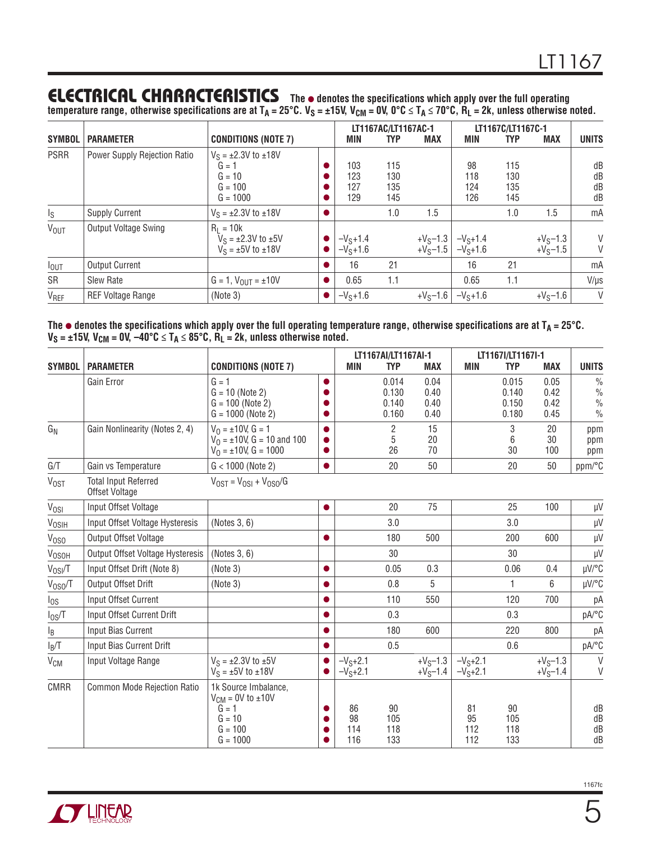## **ELECTRICAL CHARACTERISTICS** The  $\bullet$  denotes the specifications which apply over the full operating

temperature range, otherwise specifications are at T<sub>A</sub> = 25°C. V<sub>S</sub> = ±15V, V<sub>CM</sub> = 0V, 0°C ≤ T<sub>A</sub> ≤ 70°C, R<sub>L</sub> = 2k, unless otherwise noted.

| <b>SYMBOL</b>           | <b>PARAMETER</b>             | <b>CONDITIONS (NOTE 7)</b>                                                      |  | LT1167AC/LT1167AC-1<br>MIN<br><b>MAX</b><br><b>TYP</b> |                          |                          | LT1167C/LT1167C-1<br><b>MAX</b><br>TYP<br>MIN |                          |                          | <b>UNITS</b>         |
|-------------------------|------------------------------|---------------------------------------------------------------------------------|--|--------------------------------------------------------|--------------------------|--------------------------|-----------------------------------------------|--------------------------|--------------------------|----------------------|
| <b>PSRR</b>             | Power Supply Rejection Ratio | $V_S = \pm 2.3V$ to $\pm 18V$<br>$G = 1$<br>$G = 10$<br>$G = 100$<br>$G = 1000$ |  | 103<br>123<br>127<br>129                               | 115<br>130<br>135<br>145 |                          | 98<br>118<br>124<br>126                       | 115<br>130<br>135<br>145 |                          | dB<br>dB<br>dB<br>dB |
| $\mathsf{I}_\mathsf{S}$ | <b>Supply Current</b>        | $V_S = \pm 2.3V$ to $\pm 18V$                                                   |  |                                                        | 1.0                      | 1.5                      |                                               | 1.0                      | 1.5                      | mA                   |
| <b>V<sub>OUT</sub></b>  | <b>Output Voltage Swing</b>  | $R_1 = 10k$<br>$V_S = \pm 2.3V$ to $\pm 5V$<br>$V_S = \pm 5V$ to $\pm 18V$      |  | $-VS+1.4$<br>$-VS+1.6$                                 |                          | $+V_S-1.3$<br>$+V_S-1.5$ | $-VS+1.4$<br>$-VS+1.6$                        |                          | $+V_S-1.3$<br>$+V_S-1.5$ | V<br>V               |
| $I_{OUT}$               | <b>Output Current</b>        |                                                                                 |  | 16                                                     | 21                       |                          | 16                                            | 21                       |                          | mA                   |
| SR                      | <b>Slew Rate</b>             | $G = 1$ , $V_{OUT} = \pm 10V$                                                   |  | 0.65                                                   | 1.1                      |                          | 0.65                                          | 1.1                      |                          | $V/\mu s$            |
| V <sub>REF</sub>        | <b>REF Voltage Range</b>     | (Note 3)                                                                        |  | $-VS+1.6$                                              |                          | $+V_S-1.6$               | $-VS+1.6$                                     |                          | $+V_S-1.6$               | V                    |

**The** <sup>l</sup> **denotes the specifications which apply over the full operating temperature range, otherwise specifications are at TA = 25°C.**   $V_S = \pm 15V$ ,  $V_{\text{CM}} = 0V$ ,  $-40^{\circ}$ C  $\leq T_A \leq 85^{\circ}$ C,  $R_L = 2k$ , unless otherwise noted.

|                   |                                               |                                                                                                      |                        |                        | LT1167AI/LT1167AI-1              |                              | LT1167I/LT1167I-1      |                                  |                              |                                                                  |
|-------------------|-----------------------------------------------|------------------------------------------------------------------------------------------------------|------------------------|------------------------|----------------------------------|------------------------------|------------------------|----------------------------------|------------------------------|------------------------------------------------------------------|
| <b>SYMBOL</b>     | <b>PARAMETER</b>                              | <b>CONDITIONS (NOTE 7)</b>                                                                           |                        | <b>MIN</b>             | <b>TYP</b>                       | <b>MAX</b>                   | <b>MIN</b>             | <b>TYP</b>                       | <b>MAX</b>                   | <b>UNITS</b>                                                     |
|                   | Gain Error                                    | $G = 1$<br>$G = 10$ (Note 2)<br>$G = 100$ (Note 2)<br>$G = 1000$ (Note 2)                            | 0                      |                        | 0.014<br>0.130<br>0.140<br>0.160 | 0.04<br>0.40<br>0.40<br>0.40 |                        | 0.015<br>0.140<br>0.150<br>0.180 | 0.05<br>0.42<br>0.42<br>0.45 | $\frac{0}{0}$<br>$\frac{0}{0}$<br>$\frac{0}{0}$<br>$\frac{0}{0}$ |
| $G_N$             | Gain Nonlinearity (Notes 2, 4)                | $V_0 = \pm 10V$ , $G = 1$<br>$V_0 = \pm 10V$ , G = 10 and 100<br>$V_0 = \pm 10V$ , G = 1000          | $\bullet$              |                        | 2<br>5<br>26                     | 15<br>20<br>70               |                        | 3<br>6<br>30                     | 20<br>30<br>100              | ppm<br>ppm<br>ppm                                                |
| G/T               | Gain vs Temperature                           | $G < 1000$ (Note 2)                                                                                  | $\bullet$              |                        | 20                               | 50                           |                        | 20                               | 50                           | ppm/°C                                                           |
| V <sub>OST</sub>  | <b>Total Input Referred</b><br>Offset Voltage | $V_{OST} = V_{OS1} + V_{OS0}/G$                                                                      |                        |                        |                                  |                              |                        |                                  |                              |                                                                  |
| Vosi              | Input Offset Voltage                          |                                                                                                      | $\bullet$              |                        | 20                               | 75                           |                        | 25                               | 100                          | μV                                                               |
| V <sub>OSIH</sub> | Input Offset Voltage Hysteresis               | (Notes 3, 6)                                                                                         |                        |                        | 3.0                              |                              |                        | 3.0                              |                              | μV                                                               |
| V <sub>OSO</sub>  | Output Offset Voltage                         |                                                                                                      | $\bullet$              |                        | 180                              | 500                          |                        | 200                              | 600                          | μV                                                               |
| V <sub>OSOH</sub> | <b>Output Offset Voltage Hysteresis</b>       | (Notes 3, 6)                                                                                         |                        |                        | 30                               |                              |                        | 30                               |                              | $\mu$ V                                                          |
| $V_{OSI}/T$       | Input Offset Drift (Note 8)                   | (Note 3)                                                                                             | $\bullet$              |                        | 0.05                             | 0.3                          |                        | 0.06                             | 0.4                          | µV/°C                                                            |
| $V_{0SO}/T$       | Output Offset Drift                           | (Note 3)                                                                                             | $\bullet$              |                        | 0.8                              | 5                            |                        | 1                                | 6                            | µV/°C                                                            |
| $I_{OS}$          | Input Offset Current                          |                                                                                                      | $\bullet$              |                        | 110                              | 550                          |                        | 120                              | 700                          | рA                                                               |
| $I_{0S}/T$        | Input Offset Current Drift                    |                                                                                                      | ●                      |                        | 0.3                              |                              |                        | 0.3                              |                              | pA/°C                                                            |
| lв                | Input Bias Current                            |                                                                                                      | ●                      |                        | 180                              | 600                          |                        | 220                              | 800                          | рA                                                               |
| $I_B/T$           | Input Bias Current Drift                      |                                                                                                      | ●                      |                        | 0.5                              |                              |                        | 0.6                              |                              | pA/°C                                                            |
| V <sub>CM</sub>   | Input Voltage Range                           | $V_S = \pm 2.3V$ to $\pm 5V$<br>$V_S = \pm 5V$ to $\pm 18V$                                          | $\bullet$<br>$\bullet$ | $-VS+2.1$<br>$-VS+2.1$ |                                  | $+V_S-1.3$<br>$+V_S-1.4$     | $-VS+2.1$<br>$-VS+2.1$ |                                  | $+V_S-1.3$<br>$+V_S-1.4$     | V<br>V                                                           |
| <b>CMRR</b>       | <b>Common Mode Rejection Ratio</b>            | 1k Source Imbalance,<br>$V_{CM} = 0V$ to $\pm 10V$<br>$G = 1$<br>$G = 10$<br>$G = 100$<br>$G = 1000$ |                        | 86<br>98<br>114<br>116 | 90<br>105<br>118<br>133          |                              | 81<br>95<br>112<br>112 | 90<br>105<br>118<br>133          |                              | dB<br>${\sf dB}$<br>dB<br>dB                                     |

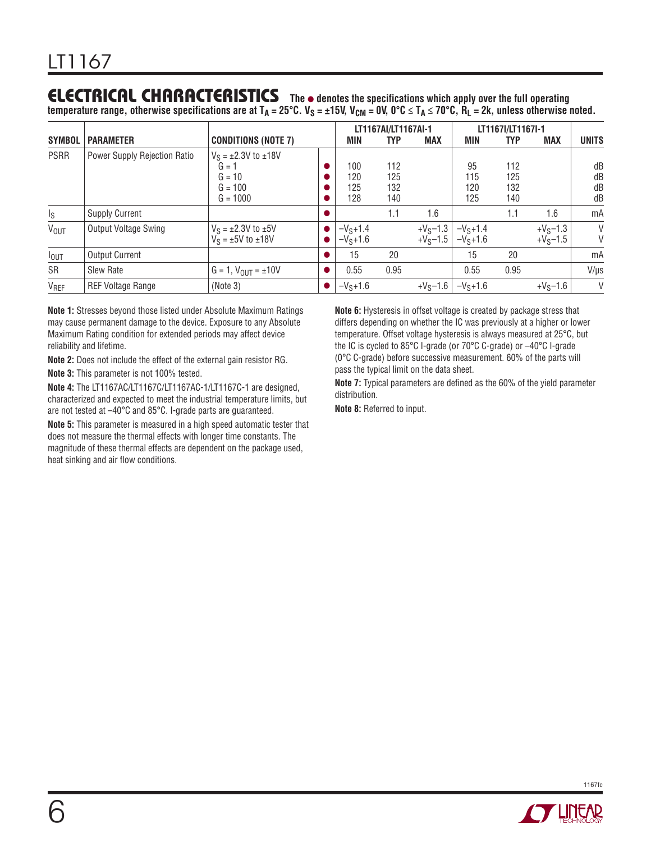## **ELECTRICAL CHARACTERISTICS** The  $\bullet$  denotes the specifications which apply over the full operating

temperature range, otherwise specifications are at T<sub>A</sub> = 25°C. V<sub>S</sub> = ±15V, V<sub>CM</sub> = 0V, 0°C ≤ T<sub>A</sub> ≤ 70°C, R<sub>L</sub> = 2k, unless otherwise noted.

| <b>SYMBOL</b>           | <b>PARAMETER</b>             | <b>CONDITIONS (NOTE 7)</b>                                                      |  | MIN                      | LT1167AI/LT1167AI-1<br><b>TYP</b><br>MAX |                          | LT1167I/LT1167I-1<br><b>MAX</b><br><b>TYP</b><br>MIN |                          |                          | <b>UNITS</b>         |
|-------------------------|------------------------------|---------------------------------------------------------------------------------|--|--------------------------|------------------------------------------|--------------------------|------------------------------------------------------|--------------------------|--------------------------|----------------------|
| <b>PSRR</b>             | Power Supply Rejection Ratio | $V_S = \pm 2.3V$ to $\pm 18V$<br>$G = 1$<br>$G = 10$<br>$G = 100$<br>$G = 1000$ |  | 100<br>120<br>125<br>128 | 112<br>125<br>132<br>140                 |                          | 95<br>115<br>120<br>125                              | 112<br>125<br>132<br>140 |                          | dB<br>dB<br>dB<br>dB |
| $\mathsf{I}_\mathsf{S}$ | <b>Supply Current</b>        |                                                                                 |  |                          | 1.1                                      | 1.6                      |                                                      | 1.1                      | 1.6                      | mA                   |
| <b>VOUT</b>             | <b>Output Voltage Swing</b>  | $V_S = \pm 2.3V$ to $\pm 5V$<br>$V_S = \pm 5V$ to $\pm 18V$                     |  | $-VS+1.4$<br>$-VS+1.6$   |                                          | $+V_S-1.3$<br>$+V_S-1.5$ | $-VS+1.4$<br>$-VS+1.6$                               |                          | $+V_S-1.3$<br>$+V_S-1.5$ | V<br>V               |
| $I_{OUT}$               | <b>Output Current</b>        |                                                                                 |  | 15                       | 20                                       |                          | 15                                                   | 20                       |                          | mA                   |
| SR                      | Slew Rate                    | $G = 1$ , $V_{OUT} = \pm 10V$                                                   |  | 0.55                     | 0.95                                     |                          | 0.55                                                 | 0.95                     |                          | $V/\mu s$            |
| V <sub>REF</sub>        | <b>REF Voltage Range</b>     | (Note 3)                                                                        |  | $-VS+1.6$                |                                          | $+V_S-1.6$               | $-VS+1.6$                                            |                          | $+V_S-1.6$               | V                    |

**Note 1:** Stresses beyond those listed under Absolute Maximum Ratings may cause permanent damage to the device. Exposure to any Absolute Maximum Rating condition for extended periods may affect device reliability and lifetime.

**Note 2:** Does not include the effect of the external gain resistor RG.

**Note 3:** This parameter is not 100% tested.

**Note 4:** The LT1167AC/LT1167C/LT1167AC-1/LT1167C-1 are designed, characterized and expected to meet the industrial temperature limits, but are not tested at –40°C and 85°C. I-grade parts are guaranteed.

**Note 5:** This parameter is measured in a high speed automatic tester that does not measure the thermal effects with longer time constants. The magnitude of these thermal effects are dependent on the package used, heat sinking and air flow conditions.

**Note 6:** Hysteresis in offset voltage is created by package stress that differs depending on whether the IC was previously at a higher or lower temperature. Offset voltage hysteresis is always measured at 25°C, but the IC is cycled to 85°C I-grade (or 70°C C-grade) or –40°C I-grade (0°C C-grade) before successive measurement. 60% of the parts will pass the typical limit on the data sheet.

**Note 7:** Typical parameters are defined as the 60% of the yield parameter distribution.

**Note 8:** Referred to input.

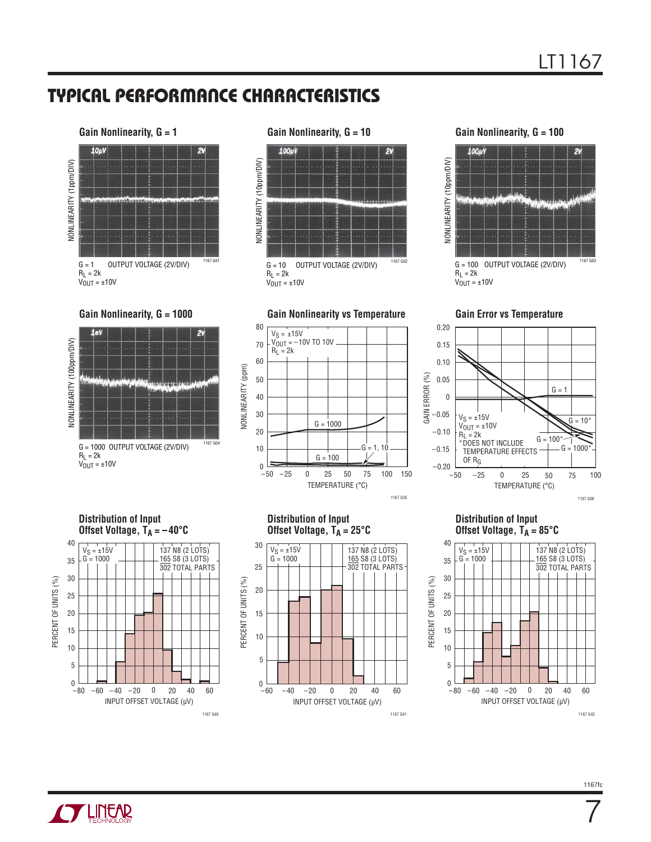

# **Gain Nonlinearity, G = 10** 100µ 2  $G = 10$  OUTPUT VOLTAGE (2V/DIV)  $1167602$  $R_L = 2k$  $V_{OUT} = \pm 10V$

**Gain Nonlinearity, G = 100**



**Gain Error vs Temperature**



#### **Distribution of Input**  Offset Voltage,  $T_A = 85^{\circ}C$



10 15

 $-80$ 

 $\overline{0}$ 

5



1167 G40

INPUT OFFSET VOLTAGE (μV)

 $-60$   $-40$   $-20$  0 20 40 60

#### **Distribution of Input**  Offset Voltage,  $T_A = 25^\circ C$

 $-25$  0 25 50

TEMPERATURE (°C)

1167 G05

75 100 150

 $G = 1, 10$ 

25

 $G = 100$ 

 $G = 1000$ 



**CYLINEAR** 

7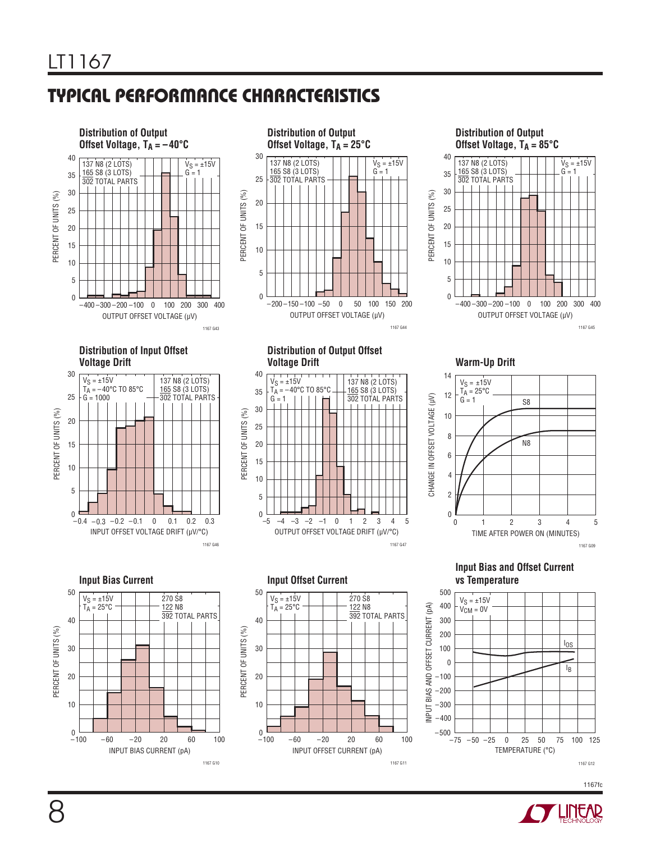1167 G10



1167 G11

1167fc

1167 G12

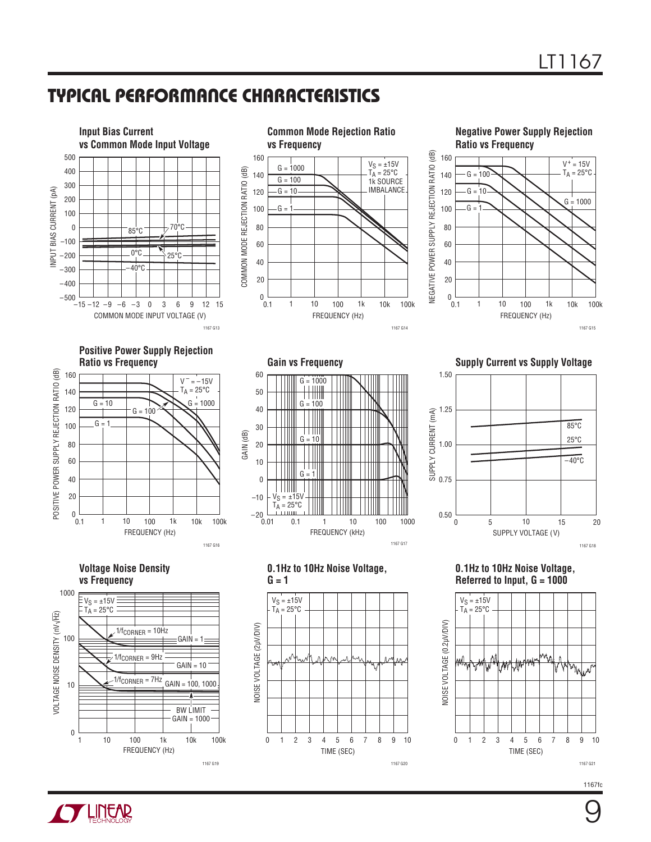





Gain vs Frequency **Cain vs Frequency Gain vs Supply Current vs Supply Voltage** 



**0.1Hz to 10Hz Noise Voltage, Referred to Input, G = 1000**



 $\check{0}.1$ 1k 10k 20  $\Omega$ 1 10 100 100k

FREQUENCY (Hz)

1167 G16

–10

 $^{-20}$   $_{0.01}^{-1}$ 

 $V_S = \pm 15V$  $T_{\text{A}} = 25^{\circ} \text{C}$ 

**Voltage Noise Density vs Frequency**





FREQUENCY (kHz)

1167 G17

0.01 1 10 1000

0.1 1 10 100



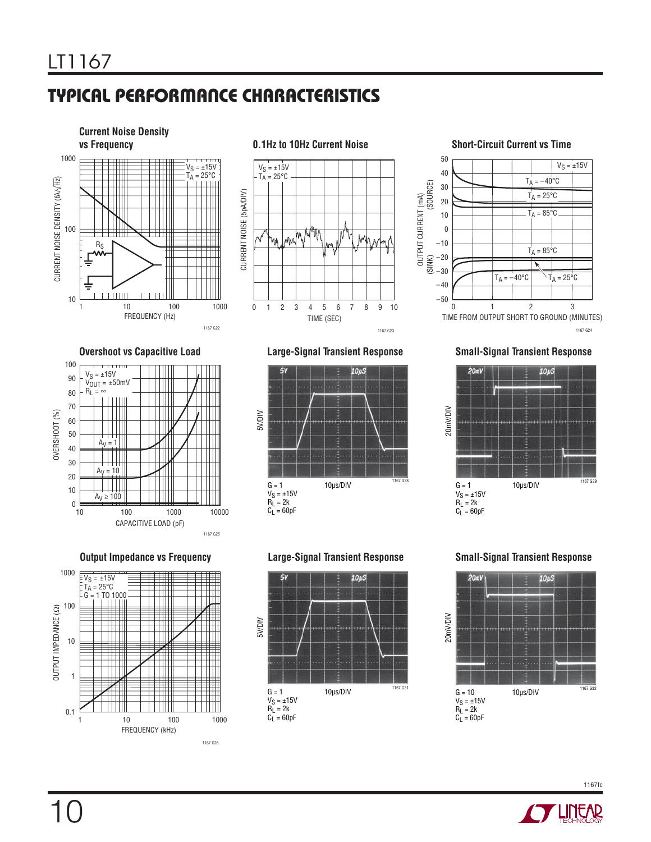

 $V_S = \pm 15V$  $T_{\text{A}} = 25^{\circ} \text{C}$ CURRENT NOISE (5pA/DIV) CURRENT NOISE (5pA/DIV) `'M m/ Ń Mhw | MW m. 8 0 1 2 3 4 5 6 7 9 10 TIME (SEC) 1167 G23



1167 G24

#### **Overshoot vs Capacitive Load Large-Signal Transient Response Small-Signal Transient Response**



FREQUENCY (kHz)

 $\blacksquare$ 

Ш

1167 G26



### 1167 G25



 $G = 1$  10μs/DIV 1167 G29

20mV/DIV

 $V_S = \pm 15V$  $R_L = 2k$  $C_1 = 60pF$ 





10

OUTPUT IMPEDANCE (Ω)

OUTPUT IMPEDANCE (2)

1

0.1 1

10

100

1000

 $V_S = \pm 15V$  $T_A = 25^{\circ}C$  $G = 1$  TO 1000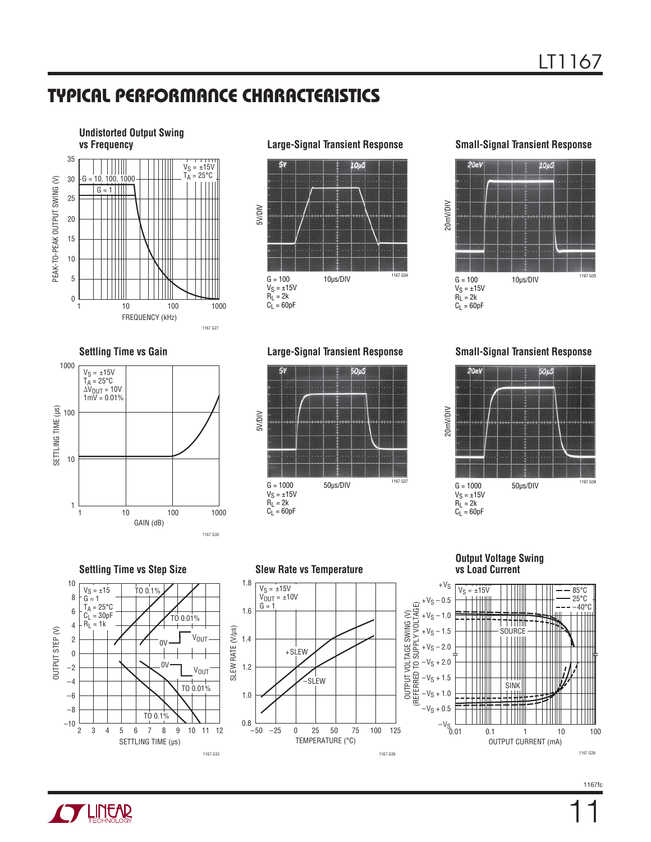

**Large-Signal Transient Response Small-Signal Transient Response** 









**Settling Time vs Gain Large-Signal Transient Response Small-Signal Transient Response**







**Output Voltage Swing vs Load Current**



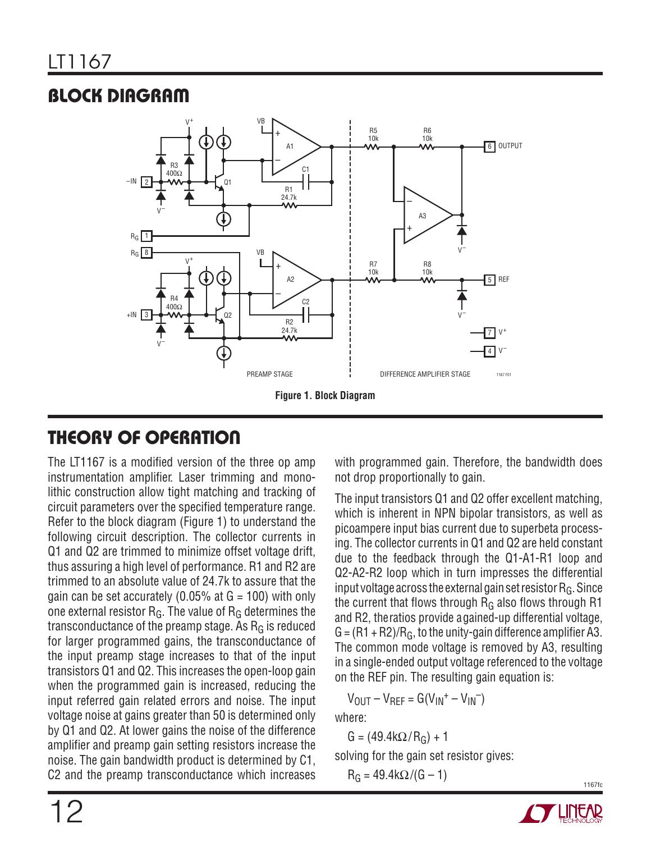# **BLOCK DIAGRAM**



# **THEORY OF OPERATION**

The LT1167 is a modified version of the three op amp instrumentation amplifier. Laser trimming and monolithic construction allow tight matching and tracking of circuit parameters over the specified temperature range. Refer to the block diagram (Figure 1) to understand the following circuit description. The collector currents in Q1 and Q2 are trimmed to minimize offset voltage drift, thus assuring a high level of performance. R1 and R2 are trimmed to an absolute value of 24.7k to assure that the gain can be set accurately (0.05% at  $G = 100$ ) with only one external resistor  $R_G$ . The value of  $R_G$  determines the transconductance of the preamp stage. As  $R<sub>G</sub>$  is reduced for larger programmed gains, the transconductance of the input preamp stage increases to that of the input transistors Q1 and Q2. This increases the open-loop gain when the programmed gain is increased, reducing the input referred gain related errors and noise. The input voltage noise at gains greater than 50 is determined only by Q1 and Q2. At lower gains the noise of the difference amplifier and preamp gain setting resistors increase the noise. The gain bandwidth product is determined by C1, C2 and the preamp transconductance which increases

with programmed gain. Therefore, the bandwidth does not drop proportionally to gain.

The input transistors Q1 and Q2 offer excellent matching, which is inherent in NPN bipolar transistors, as well as picoampere input bias current due to superbeta processing. The collector currents in Q1 and Q2 are held constant due to the feedback through the Q1-A1-R1 loop and Q2-A2-R2 loop which in turn impresses the differential input voltage across the external gain set resistor  $R_G$ . Since the current that flows through  $R<sub>G</sub>$  also flows through R1 and R2, the ratios provide a gained-up differential voltage,  $G = (R1 + R2)/R_G$ , to the unity-gain difference amplifier A3. The common mode voltage is removed by A3, resulting in a single-ended output voltage referenced to the voltage on the REF pin. The resulting gain equation is:

$$
V_{\text{OUT}}-V_{\text{REF}}=G(V_{\text{IN}}^{+}-V_{\text{IN}}^{-})
$$

where:

G =  $(49.4k\Omega/R<sub>G</sub>) + 1$ 

solving for the gain set resistor gives:

 $R_G = 49.4 k\Omega/(G - 1)$ 

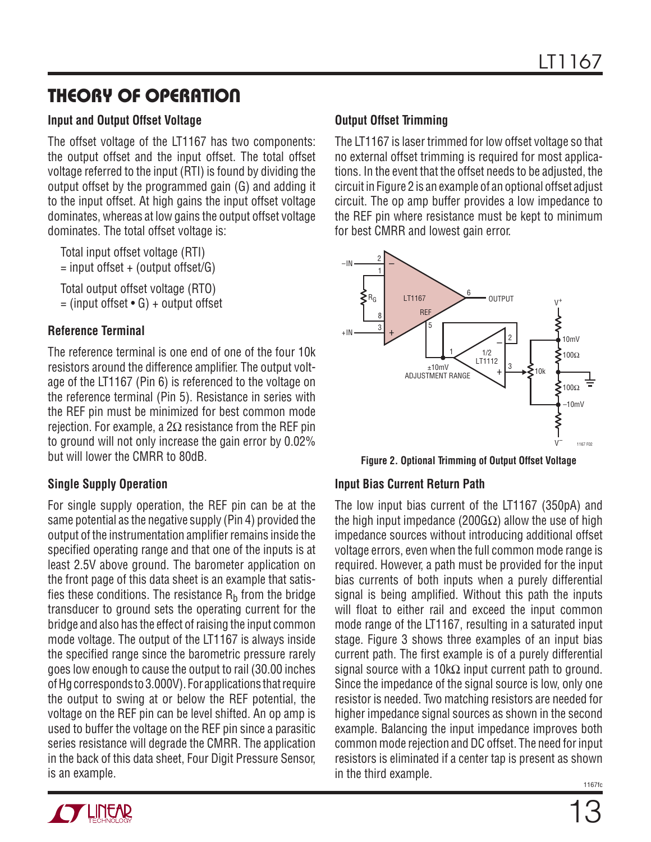## **THEORY OF OPERATION**

#### **Input and Output Offset Voltage**

The offset voltage of the LT1167 has two components: the output offset and the input offset. The total offset voltage referred to the input (RTI) is found by dividing the output offset by the programmed gain (G) and adding it to the input offset. At high gains the input offset voltage dominates, whereas at low gains the output offset voltage dominates. The total offset voltage is:

 Total input offset voltage (RTI)  $=$  input offset  $+$  (output offset/G)

 Total output offset voltage (RTO)  $=$  (input offset  $\bullet$  G) + output offset

### **Reference Terminal**

The reference terminal is one end of one of the four 10k resistors around the difference amplifier. The output voltage of the LT1167 (Pin 6) is referenced to the voltage on the reference terminal (Pin 5). Resistance in series with the REF pin must be minimized for best common mode rejection. For example, a 2Ω resistance from the REF pin to ground will not only increase the gain error by 0.02% but will lower the CMRR to 80dB.

### **Single Supply Operation**

For single supply operation, the REF pin can be at the same potential as the negative supply (Pin 4) provided the output of the instrumentation amplifier remains inside the specified operating range and that one of the inputs is at least 2.5V above ground. The barometer application on the front page of this data sheet is an example that satisfies these conditions. The resistance  $R_b$  from the bridge transducer to ground sets the operating current for the bridge and also has the effect of raising the input common mode voltage. The output of the LT1167 is always inside the specified range since the barometric pressure rarely goes low enough to cause the output to rail (30.00 inches of Hg corresponds to 3.000V). For applications that require the output to swing at or below the REF potential, the voltage on the REF pin can be level shifted. An op amp is used to buffer the voltage on the REF pin since a parasitic series resistance will degrade the CMRR. The application in the back of this data sheet, Four Digit Pressure Sensor, is an example.

### **Output Offset Trimming**

The LT1167 is laser trimmed for low offset voltage so that no external offset trimming is required for most applications. In the event that the offset needs to be adjusted, the circuit in Figure 2 is an example of an optional offset adjust circuit. The op amp buffer provides a low impedance to the REF pin where resistance must be kept to minimum for best CMRR and lowest gain error.



**Figure 2. Optional Trimming of Output Offset Voltage**

### **Input Bias Current Return Path**

The low input bias current of the LT1167 (350pA) and the high input impedance (200GΩ) allow the use of high impedance sources without introducing additional offset voltage errors, even when the full common mode range is required. However, a path must be provided for the input bias currents of both inputs when a purely differential signal is being amplified. Without this path the inputs will float to either rail and exceed the input common mode range of the LT1167, resulting in a saturated input stage. Figure 3 shows three examples of an input bias current path. The first example is of a purely differential signal source with a 10k $\Omega$  input current path to ground. Since the impedance of the signal source is low, only one resistor is needed. Two matching resistors are needed for higher impedance signal sources as shown in the second example. Balancing the input impedance improves both common mode rejection and DC offset. The need for input resistors is eliminated if a center tap is present as shown in the third example.

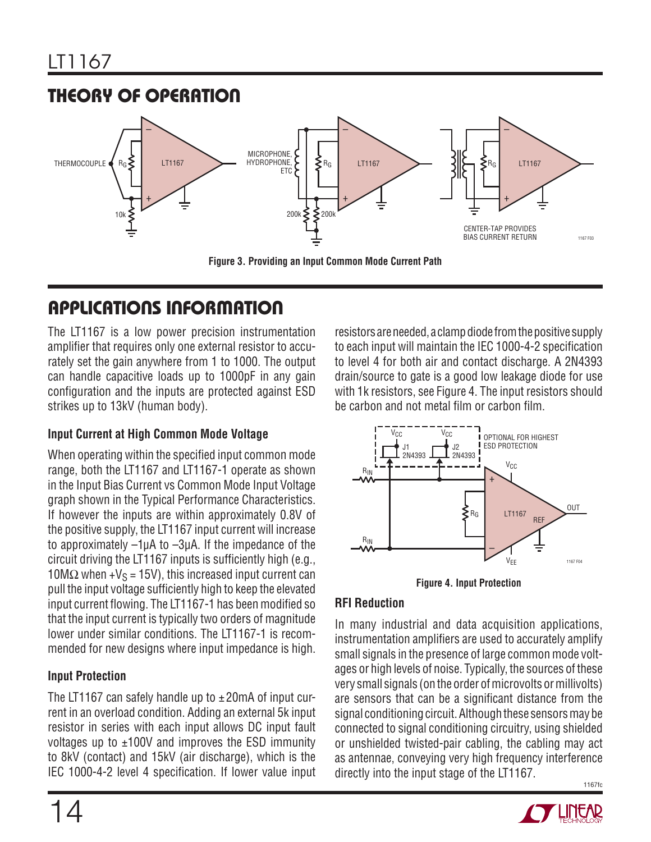

The LT1167 is a low power precision instrumentation amplifier that requires only one external resistor to accurately set the gain anywhere from 1 to 1000. The output can handle capacitive loads up to 1000pF in any gain configuration and the inputs are protected against ESD strikes up to 13kV (human body).

### **Input Current at High Common Mode Voltage**

When operating within the specified input common mode range, both the LT1167 and LT1167-1 operate as shown in the Input Bias Current vs Common Mode Input Voltage graph shown in the Typical Performance Characteristics. If however the inputs are within approximately 0.8V of the positive supply, the LT1167 input current will increase to approximately –1μA to –3μA. If the impedance of the circuit driving the LT1167 inputs is sufficiently high (e.g.,  $10\text{M}\Omega$  when +V<sub>S</sub> = 15V), this increased input current can pull the input voltage sufficiently high to keep the elevated input current flowing. The LT1167-1 has been modified so that the input current is typically two orders of magnitude lower under similar conditions. The LT1167-1 is recommended for new designs where input impedance is high.

### **Input Protection**

The LT1167 can safely handle up to  $\pm$  20mA of input current in an overload condition. Adding an external 5k input resistor in series with each input allows DC input fault voltages up to  $\pm 100V$  and improves the ESD immunity to 8kV (contact) and 15kV (air discharge), which is the IEC 1000-4-2 level 4 specification. If lower value input

resistors are needed, a clamp diode from the positive supply to each input will maintain the IEC 1000-4-2 specification to level 4 for both air and contact discharge. A 2N4393 drain/source to gate is a good low leakage diode for use with 1k resistors, see Figure 4. The input resistors should be carbon and not metal film or carbon film.



**Figure 4. Input Protection**

### **RFI Reduction**

1167fc In many industrial and data acquisition applications, instrumentation amplifiers are used to accurately amplify small signals in the presence of large common mode voltages or high levels of noise. Typically, the sources of these very small signals (on the order of microvolts or millivolts) are sensors that can be a significant distance from the signal conditioning circuit. Although these sensors may be connected to signal conditioning circuitry, using shielded or unshielded twisted-pair cabling, the cabling may act as antennae, conveying very high frequency interference directly into the input stage of the LT1167.

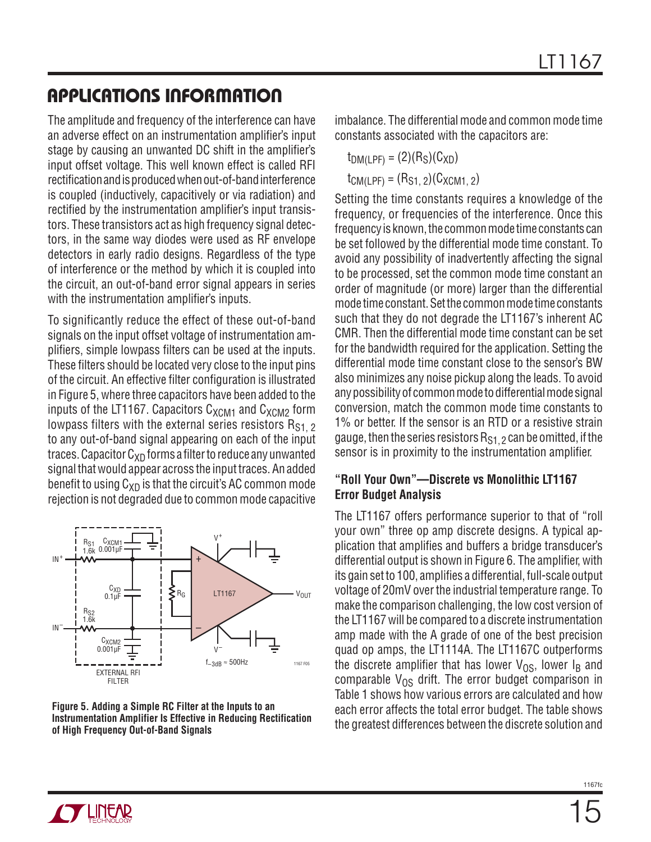The amplitude and frequency of the interference can have an adverse effect on an instrumentation amplifier's input stage by causing an unwanted DC shift in the amplifier's input offset voltage. This well known effect is called RFI rectification and is produced when out-of-band interference is coupled (inductively, capacitively or via radiation) and rectified by the instrumentation amplifier's input transistors. These transistors act as high frequency signal detectors, in the same way diodes were used as RF envelope detectors in early radio designs. Regardless of the type of interference or the method by which it is coupled into the circuit, an out-of-band error signal appears in series with the instrumentation amplifier's inputs.

To significantly reduce the effect of these out-of-band signals on the input offset voltage of instrumentation amplifiers, simple lowpass filters can be used at the inputs. These filters should be located very close to the input pins of the circuit. An effective filter configuration is illustrated in Figure 5, where three capacitors have been added to the inputs of the LT1167. Capacitors  $C_{XCM1}$  and  $C_{XCM2}$  form lowpass filters with the external series resistors  $R_{S1,2}$ to any out-of-band signal appearing on each of the input traces. Capacitor  $C_{XD}$  forms a filter to reduce any unwanted signal that would appear across the input traces. An added benefit to using  $C_{XD}$  is that the circuit's AC common mode rejection is not degraded due to common mode capacitive



#### **Figure 5. Adding a Simple RC Filter at the Inputs to an Instrumentation Amplifier Is Effective in Reducing Rectification of High Frequency Out-of-Band Signals**

imbalance. The differential mode and common mode time constants associated with the capacitors are:

 $t_{DM(LPF)} = (2)(R_S)(C_{XD})$  $t_{CM(LPF)} = (R_{S1, 2})(C_{XCM1, 2})$ 

Setting the time constants requires a knowledge of the frequency, or frequencies of the interference. Once this frequency is known, the common mode time constants can be set followed by the differential mode time constant. To avoid any possibility of inadvertently affecting the signal to be processed, set the common mode time constant an order of magnitude (or more) larger than the differential mode time constant. Set the common mode time constants such that they do not degrade the LT1167's inherent AC CMR. Then the differential mode time constant can be set for the bandwidth required for the application. Setting the differential mode time constant close to the sensor's BW also minimizes any noise pickup along the leads. To avoid any possibility of common mode to differential mode signal conversion, match the common mode time constants to 1% or better. If the sensor is an RTD or a resistive strain gauge, then the series resistors  $R_{S1}$ ,  $\gamma$  can be omitted, if the sensor is in proximity to the instrumentation amplifier.

#### **"Roll Your Own"—Discrete vs Monolithic LT1167 Error Budget Analysis**

The LT1167 offers performance superior to that of "roll your own" three op amp discrete designs. A typical application that amplifies and buffers a bridge transducer's differential output is shown in Figure 6. The amplifier, with its gain set to 100, amplifies a differential, full-scale output voltage of 20mV over the industrial temperature range. To make the comparison challenging, the low cost version of the LT1167 will be compared to a discrete instrumentation amp made with the A grade of one of the best precision quad op amps, the LT1114A. The LT1167C outperforms the discrete amplifier that has lower  $V_{OS}$ , lower  $I_B$  and comparable  $V_{OS}$  drift. The error budget comparison in Table 1 shows how various errors are calculated and how each error affects the total error budget. The table shows the greatest differences between the discrete solution and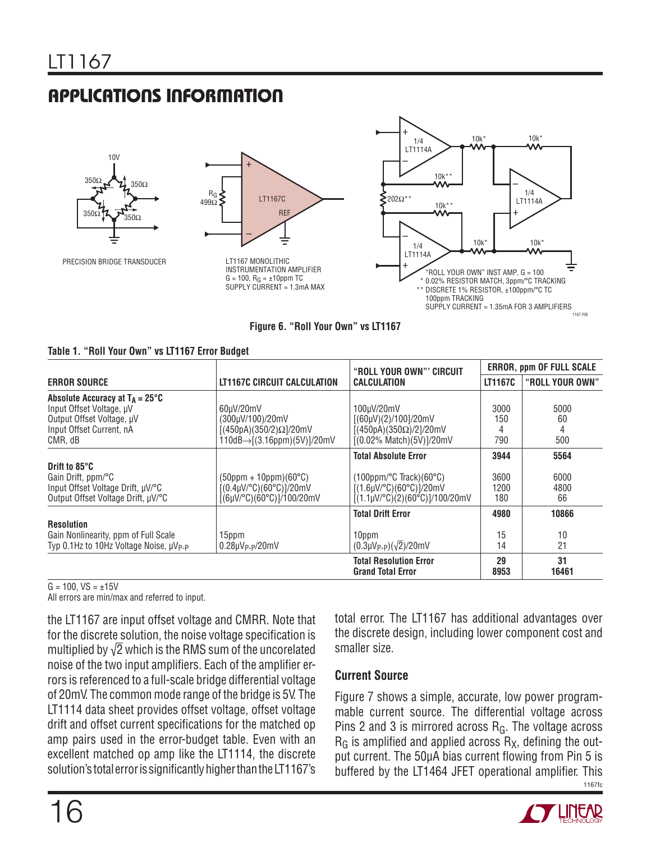





**Figure 6. "Roll Your Own" vs LT1167**

| Table 1. "Roll Your Own" vs LT1167 Error Budget |  |  |  |  |  |  |  |
|-------------------------------------------------|--|--|--|--|--|--|--|
|-------------------------------------------------|--|--|--|--|--|--|--|

|                                                                                                                                          |                                                                                                                                   | "ROLL YOUR OWN"' CIRCUIT                                                                                                                                    |                             | <b>ERROR, ppm OF FULL SCALE</b> |
|------------------------------------------------------------------------------------------------------------------------------------------|-----------------------------------------------------------------------------------------------------------------------------------|-------------------------------------------------------------------------------------------------------------------------------------------------------------|-----------------------------|---------------------------------|
| <b>ERROR SOURCE</b>                                                                                                                      | <b>LT1167C CIRCUIT CALCULATION</b>                                                                                                | CALCULATION                                                                                                                                                 | <b>LT1167C</b>              | "ROLL YOUR OWN"                 |
| Absolute Accuracy at $T_A = 25^{\circ}C$<br>Input Offset Voltage, µV<br>Output Offset Voltage, µV<br>Input Offset Current, nA<br>CMR, dB | 60uV/20mV<br>(300µV/100)/20mV<br>$[(450pA)(350/2)\Omega]/20mV$<br>$110dB \rightarrow [(3.16ppm)(5V)]/20mV$                        | 100uV/20mV<br>[(60µV)(2)/100]/20mV<br>$[(450pA)(350\Omega)/2]/20mV$<br>$[(0.02\% \text{ Match})(5V)]/20mV$                                                  | 3000<br>150<br>790          | 5000<br>60<br>500               |
| Drift to 85°C<br>Gain Drift, ppm/°C<br>Input Offset Voltage Drift, µV/°C<br>Output Offset Voltage Drift, µV/°C                           | $(50$ ppm + 10ppm $)(60^{\circ}C)$<br>$[(0.4 \mu V)^{\circ}C)(60^{\circ}C)]/20mV$<br>$[(6\mu V)^{\circ}C)(60^{\circ}C)]/100/20mV$ | <b>Total Absolute Error</b><br>(100ppm/°C Track)(60°C)<br>$[(1.6 \mu V)^{\circ}C)(60^{\circ}C)]/20mV$<br>$[(1.1 \mu V)^{\circ}C)(2)(60^{\circ}C)]/100/20mV$ | 3944<br>3600<br>1200<br>180 | 5564<br>6000<br>4800<br>66      |
| <b>Resolution</b><br>Gain Nonlinearity, ppm of Full Scale<br>Typ 0.1Hz to 10Hz Voltage Noise, µV <sub>P-P</sub>                          | 15ppm<br>$0.28 \mu V_{P-P}/20 mV$                                                                                                 | <b>Total Drift Error</b><br>10ppm<br>$(0.3 \mu V_{P-P})(\sqrt{2})/20 \text{mV}$                                                                             | 4980<br>15<br>14            | 10866<br>10<br>21               |
|                                                                                                                                          |                                                                                                                                   | <b>Total Resolution Error</b><br><b>Grand Total Error</b>                                                                                                   | 29<br>8953                  | 31<br>16461                     |

 $G = 100$ ,  $VS = \pm 15V$ 

All errors are min/max and referred to input.

the LT1167 are input offset voltage and CMRR. Note that for the discrete solution, the noise voltage specification is multiplied by  $\sqrt{2}$  which is the RMS sum of the uncorelated noise of the two input amplifiers. Each of the amplifier errors is referenced to a full-scale bridge differential voltage of 20mV. The common mode range of the bridge is 5V. The LT1114 data sheet provides offset voltage, offset voltage drift and offset current specifications for the matched op amp pairs used in the error-budget table. Even with an excellent matched op amp like the LT1114, the discrete solution's total error is significantly higher than the LT1167's

total error. The LT1167 has additional advantages over the discrete design, including lower component cost and smaller size.

#### **Current Source**

1167fc Figure 7 shows a simple, accurate, low power programmable current source. The differential voltage across Pins 2 and 3 is mirrored across  $R<sub>G</sub>$ . The voltage across  $R_G$  is amplified and applied across  $R_X$ , defining the output current. The 50μA bias current flowing from Pin 5 is buffered by the LT1464 JFET operational amplifier. This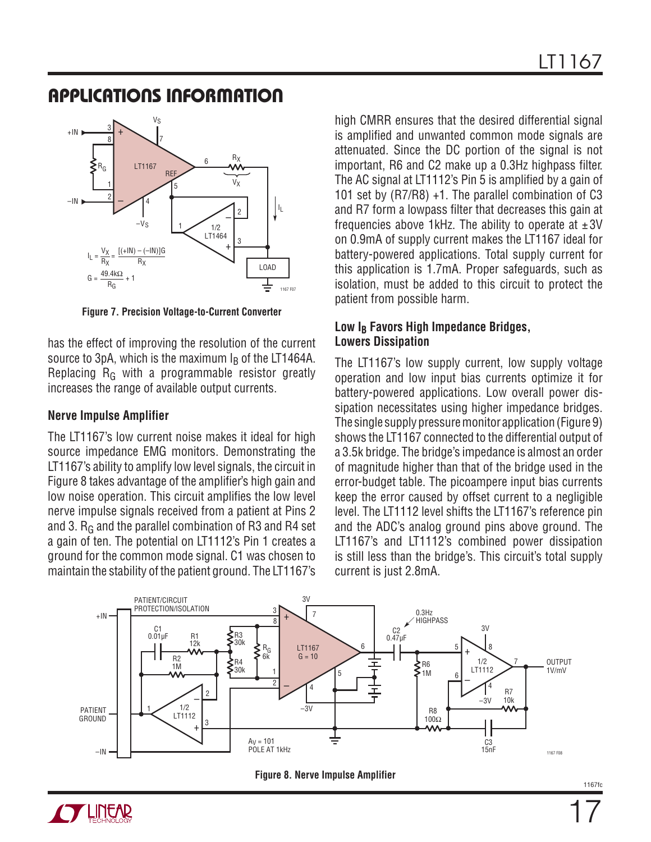

**Figure 7. Precision Voltage-to-Current Converter**

has the effect of improving the resolution of the current source to 3pA, which is the maximum  $I<sub>B</sub>$  of the LT1464A. Replacing  $R_G$  with a programmable resistor greatly increases the range of available output currents.

#### **Nerve Impulse Amplifier**

The LT1167's low current noise makes it ideal for high source impedance EMG monitors. Demonstrating the LT1167's ability to amplify low level signals, the circuit in Figure 8 takes advantage of the amplifier's high gain and low noise operation. This circuit amplifies the low level nerve impulse signals received from a patient at Pins 2 and 3.  $R_G$  and the parallel combination of R3 and R4 set a gain of ten. The potential on LT1112's Pin 1 creates a ground for the common mode signal. C1 was chosen to maintain the stability of the patient ground. The LT1167's

high CMRR ensures that the desired differential signal is amplified and unwanted common mode signals are attenuated. Since the DC portion of the signal is not important, R6 and C2 make up a 0.3Hz highpass filter. The AC signal at LT1112's Pin 5 is amplified by a gain of 101 set by (R7/R8) +1. The parallel combination of C3 and R7 form a lowpass filter that decreases this gain at frequencies above 1kHz. The ability to operate at  $\pm 3V$ on 0.9mA of supply current makes the LT1167 ideal for battery-powered applications. Total supply current for this application is 1.7mA. Proper safeguards, such as isolation, must be added to this circuit to protect the patient from possible harm.

#### Low I<sub>B</sub> Favors High Impedance Bridges, **Lowers Dissipation**

The LT1167's low supply current, low supply voltage operation and low input bias currents optimize it for battery-powered applications. Low overall power dissipation necessitates using higher impedance bridges. The single supply pressure monitor application (Figure 9) shows the LT1167 connected to the differential output of a 3.5k bridge. The bridge's impedance is almost an order of magnitude higher than that of the bridge used in the error-budget table. The picoampere input bias currents keep the error caused by offset current to a negligible level. The LT1112 level shifts the LT1167's reference pin and the ADC's analog ground pins above ground. The LT1167's and LT1112's combined power dissipation is still less than the bridge's. This circuit's total supply current is just 2.8mA.





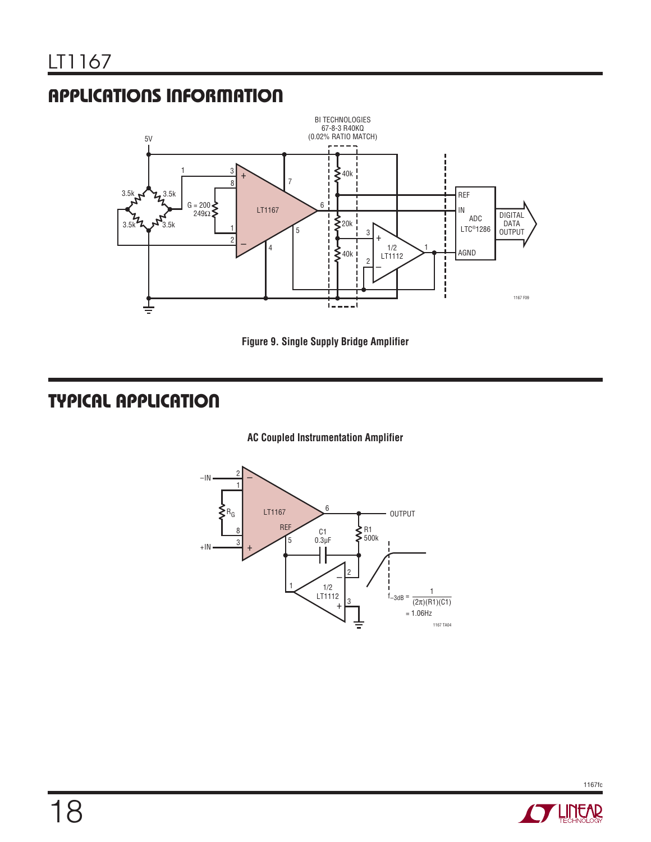

**Figure 9. Single Supply Bridge Amplifier**

# **TYPICAL APPLICATION**

#### **AC Coupled Instrumentation Amplifier**



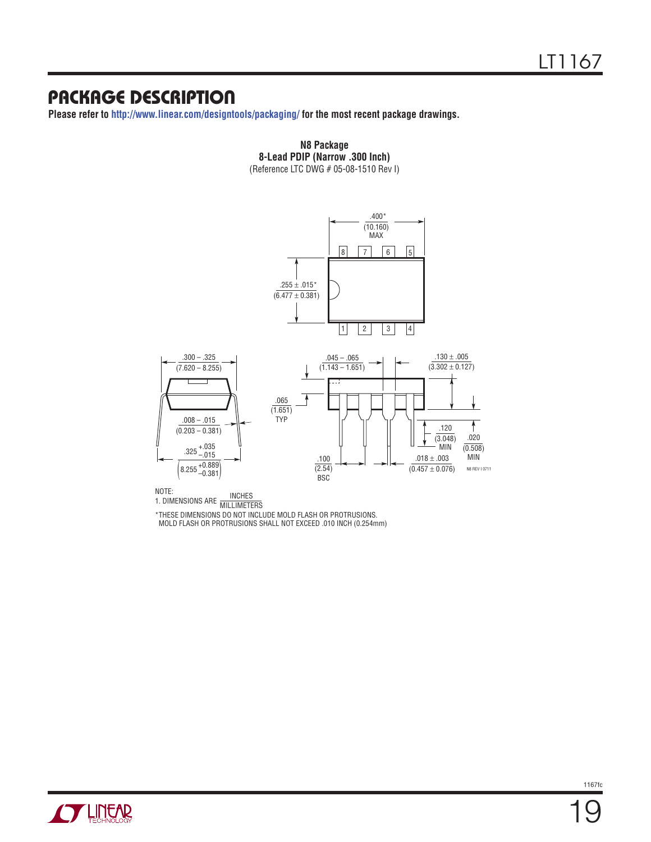## **PACKAGE DESCRIPTION**

**Please refer to http://www.linear.com/designtools/packaging/ for the most recent package drawings.**



**N8 Package 8-Lead PDIP (Narrow .300 Inch)** (Reference LTC DWG # 05-08-1510 Rev I)

NOTE:

NOTE:<br>1. DIMENSIONS ARE MILLIMETERS

\*THESE DIMENSIONS DO NOT INCLUDE MOLD FLASH OR PROTRUSIONS.

MOLD FLASH OR PROTRUSIONS SHALL NOT EXCEED .010 INCH (0.254mm)



19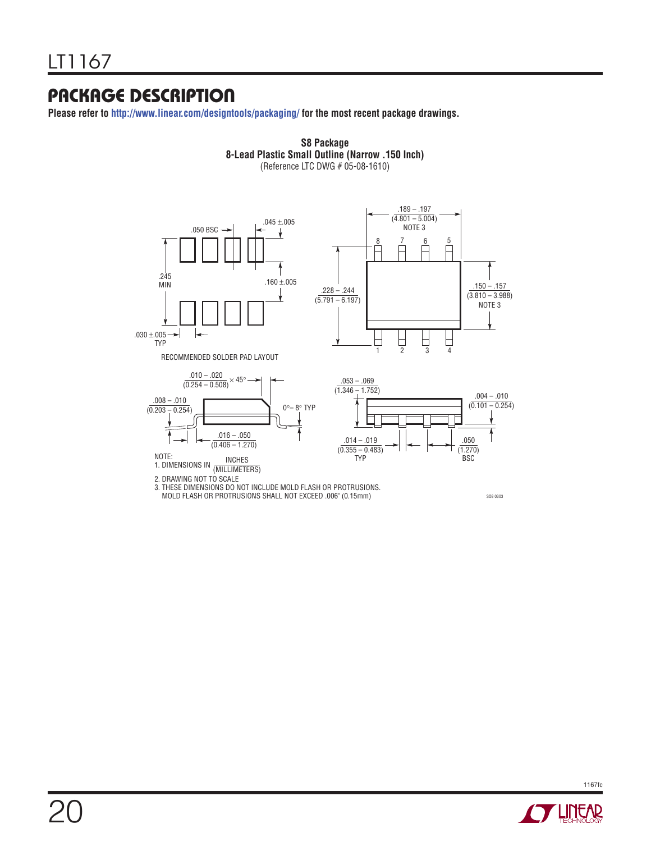## **PACKAGE DESCRIPTION**

**Please refer to http://www.linear.com/designtools/packaging/ for the most recent package drawings.**



**S8 Package**

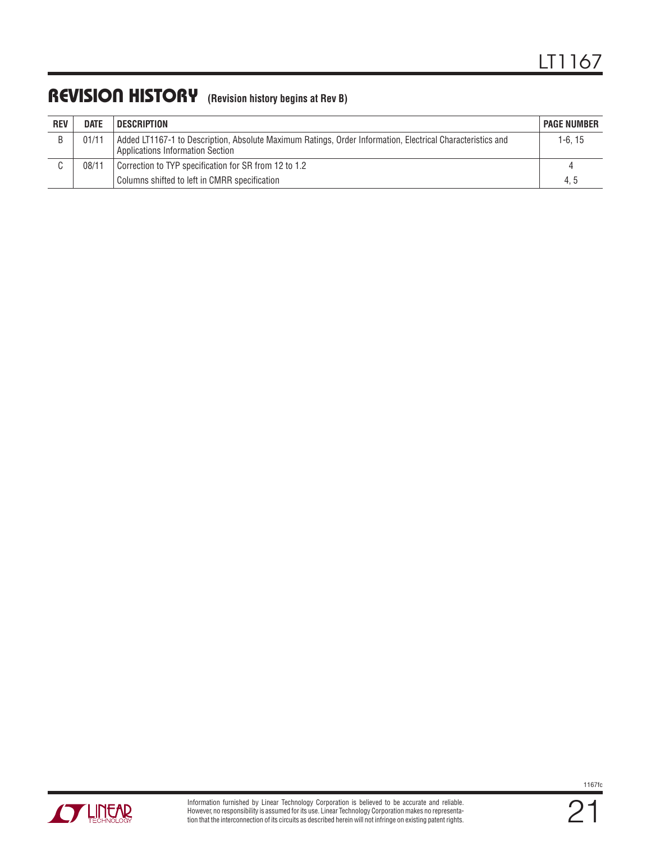## **REVISION HISTORY (Revision history begins at Rev B)**

| <b>REV</b> | <b>DATE</b> | DESCRIPTION                                                                                                                                    | <b>PAGE NUMBER</b> |
|------------|-------------|------------------------------------------------------------------------------------------------------------------------------------------------|--------------------|
|            | 01/11       | Added LT1167-1 to Description, Absolute Maximum Ratings, Order Information, Electrical Characteristics and<br>Applications Information Section | 1-6.15             |
|            | 08/11       | Correction to TYP specification for SR from 12 to 1.2                                                                                          | $\overline{a}$     |
|            |             | Columns shifted to left in CMRR specification                                                                                                  | 4.5                |